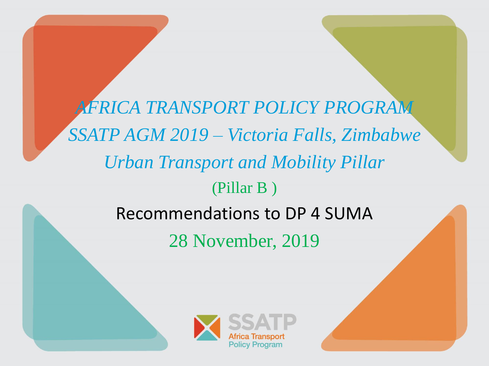*AFRICA TRANSPORT POLICY PROGRAM SSATP AGM 2019 – Victoria Falls, Zimbabwe Urban Transport and Mobility Pillar* (Pillar B ) Recommendations to DP 4 SUMA

28 November, 2019

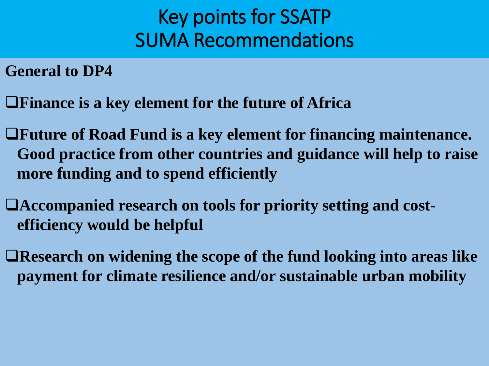**General to DP4**

❑**Finance is a key element for the future of Africa** 

- ❑**Future of Road Fund is a key element for financing maintenance. Good practice from other countries and guidance will help to raise more funding and to spend efficiently**
- ❑**Accompanied research on tools for priority setting and costefficiency would be helpful**
- ❑**Research on widening the scope of the fund looking into areas like payment for climate resilience and/or sustainable urban mobility**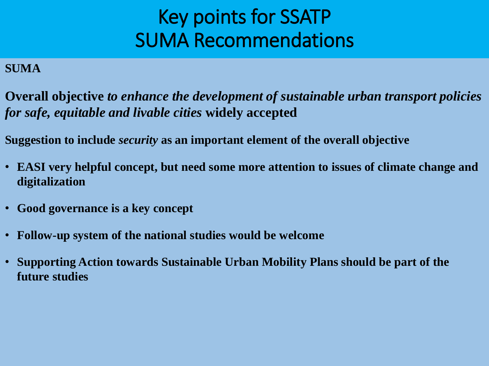### **SUMA**

**Overall objective** *to enhance the development of sustainable urban transport policies for safe, equitable and livable cities* **widely accepted**

**Suggestion to include** *security* **as an important element of the overall objective**

- **EASI very helpful concept, but need some more attention to issues of climate change and digitalization**
- **Good governance is a key concept**
- **Follow-up system of the national studies would be welcome**
- **Supporting Action towards Sustainable Urban Mobility Plans should be part of the future studies**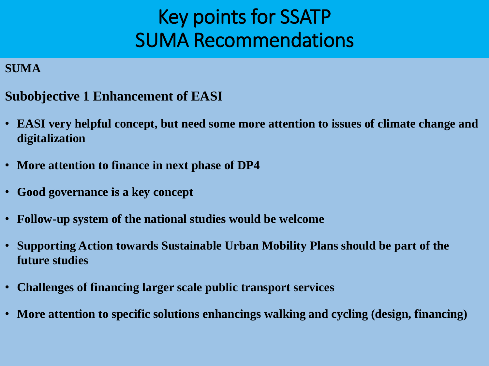- **Subobjective 1 Enhancement of EASI**
- **EASI very helpful concept, but need some more attention to issues of climate change and digitalization**
- **More attention to finance in next phase of DP4**
- **Good governance is a key concept**
- **Follow-up system of the national studies would be welcome**
- **Supporting Action towards Sustainable Urban Mobility Plans should be part of the future studies**
- **Challenges of financing larger scale public transport services**
- **More attention to specific solutions enhancings walking and cycling (design, financing)**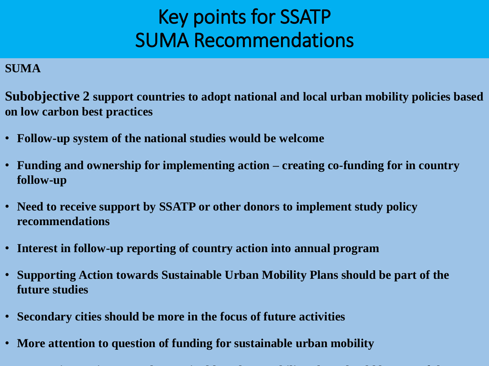### **SUMA**

**Subobjective 2 support countries to adopt national and local urban mobility policies based on low carbon best practices**

- **Follow-up system of the national studies would be welcome**
- **Funding and ownership for implementing action – creating co-funding for in country follow-up**
- **Need to receive support by SSATP or other donors to implement study policy recommendations**
- **Interest in follow-up reporting of country action into annual program**
- **Supporting Action towards Sustainable Urban Mobility Plans should be part of the future studies**
- **Secondary cities should be more in the focus of future activities**
- **More attention to question of funding for sustainable urban mobility**

• **Supporting Action towards Sustainable Urban Mobility Plans should be part of the**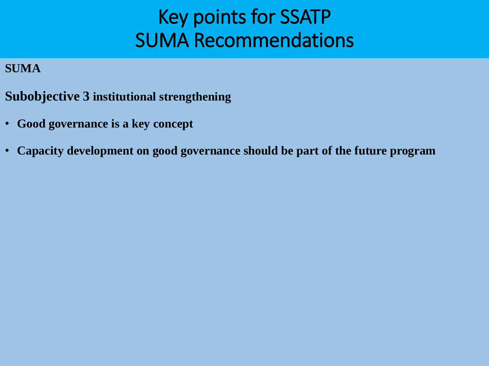- **Subobjective 3 institutional strengthening**
- **Good governance is a key concept**
- **Capacity development on good governance should be part of the future program**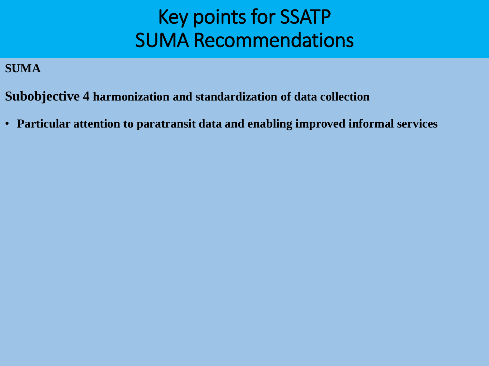- **Subobjective 4 harmonization and standardization of data collection**
- **Particular attention to paratransit data and enabling improved informal services**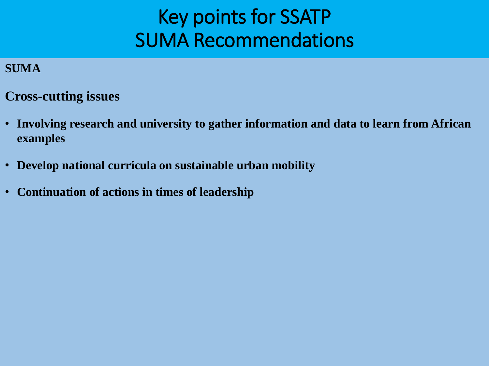- **Cross-cutting issues**
- **Involving research and university to gather information and data to learn from African examples**
- **Develop national curricula on sustainable urban mobility**
- **Continuation of actions in times of leadership**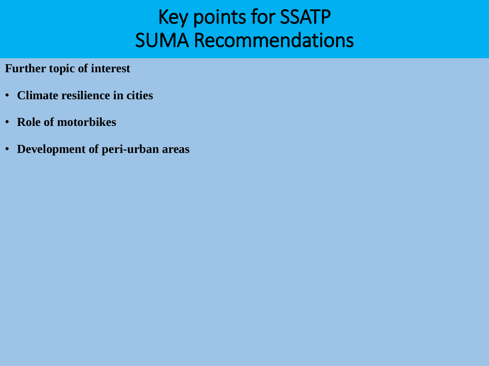**Further topic of interest**

- **Climate resilience in cities**
- **Role of motorbikes**
- **Development of peri-urban areas**